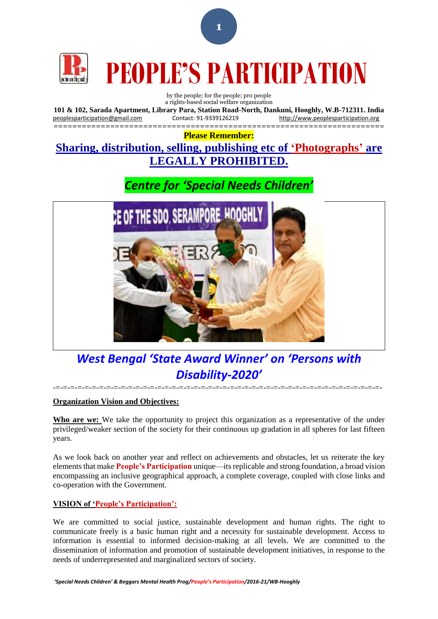

# **PEOPLE'S PARTICIPATION**

#### by the people; for the people; pro people a rights-based social welfare organization

**101 & 102, Sarada Apartment, Library Para, Station Road-North, Dankuni, Hooghly, W.B-712311. India** [peoplesparticipation@gmail.com](mailto:peoplesparticipation@gmail.com) Contact: 91-9339126219 [http://www.peoplesparticipation.org](http://www.peoplesparticipation.org/)

====================================================================== **Please Remember:**

## **Sharing, distribution, selling, publishing etc of 'Photographs' are LEGALLY PROHIBITED.**

## *Centre for 'Special Needs Children'*



## *West Bengal 'State Award Winner' on 'Persons with Disability-2020'*

 $-{\tto}$   $-{\tto}$   $-{\tto}$   $-{\tto}$   $-{\tto}$   $-{\tto}$   $-{\tto}$   $-{\tto}$   $-{\tto}$   $-{\tto}$   $-{\tto}$   $-{\tto}$   $-{\tto}$   $-{\tto}$   $-{\tto}$   $-{\tto}$   $-{\tto}$   $-{\tto}$   $-{\tto}$   $-{\tto}$   $-{\tto}$   $-{\tto}$   $-{\tto}$   $-{\tto}$   $-{\tto}$   $-{\tto}$   $-{\tto}$   $-{\tto$ 

### **Organization Vision and Objectives:**

**Who are we:** We take the opportunity to project this organization as a representative of the under privileged/weaker section of the society for their continuous up gradation in all spheres for last fifteen years.

As we look back on another year and reflect on achievements and obstacles, let us reiterate the key elements that make **People's Participation** unique—its replicable and strong foundation, a broad vision encompassing an inclusive geographical approach, a complete coverage, coupled with close links and co-operation with the Government.

### **VISION of 'People's Participation':**

We are committed to social justice, sustainable development and human rights. The right to communicate freely is a basic human right and a necessity for sustainable development. Access to information is essential to informed decision-making at all levels. We are committed to the dissemination of information and promotion of sustainable development initiatives, in response to the needs of underrepresented and marginalized sectors of society.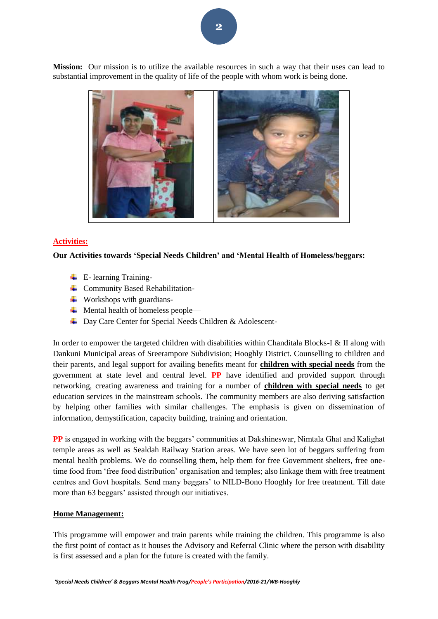**Mission:** Our mission is to utilize the available resources in such a way that their uses can lead to substantial improvement in the quality of life of the people with whom work is being done.



#### **Activities:**

#### **Our Activities towards 'Special Needs Children' and 'Mental Health of Homeless/beggars:**

- $\leftarrow$  E- learning Training-
- **↓** Community Based Rehabilitation-
- $\ddot{\bullet}$  Workshops with guardians-
- $\overline{\phantom{a}}$  Mental health of homeless people—
- Day Care Center for Special Needs Children & Adolescent-

In order to empower the targeted children with disabilities within Chanditala Blocks-I & II along with Dankuni Municipal areas of Sreerampore Subdivision; Hooghly District. Counselling to children and their parents, and legal support for availing benefits meant for **children with special needs** from the government at state level and central level. **PP** have identified and provided support through networking, creating awareness and training for a number of **children with special needs** to get education services in the mainstream schools. The community members are also deriving satisfaction by helping other families with similar challenges. The emphasis is given on dissemination of information, demystification, capacity building, training and orientation.

**PP** is engaged in working with the beggars' communities at Dakshineswar, Nimtala Ghat and Kalighat temple areas as well as Sealdah Railway Station areas. We have seen lot of beggars suffering from mental health problems. We do counselling them, help them for free Government shelters, free onetime food from 'free food distribution' organisation and temples; also linkage them with free treatment centres and Govt hospitals. Send many beggars' to NILD-Bono Hooghly for free treatment. Till date more than 63 beggars' assisted through our initiatives.

#### **Home Management:**

This programme will empower and train parents while training the children. This programme is also the first point of contact as it houses the Advisory and Referral Clinic where the person with disability is first assessed and a plan for the future is created with the family.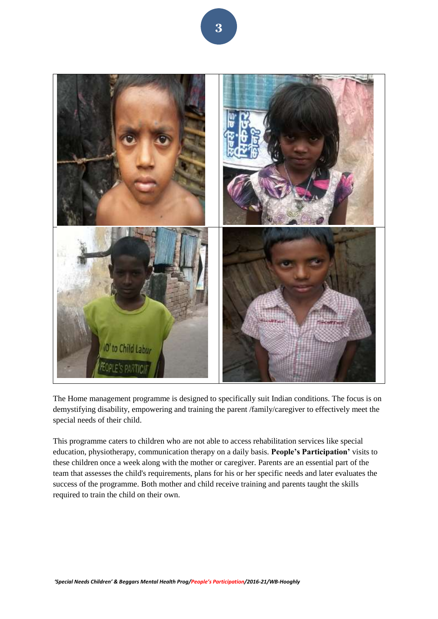

The Home management programme is designed to specifically suit Indian conditions. The focus is on demystifying disability, empowering and training the parent /family/caregiver to effectively meet the special needs of their child.

This programme caters to children who are not able to access rehabilitation services like special education, physiotherapy, communication therapy on a daily basis. **People's Participation'** visits to these children once a week along with the mother or caregiver. Parents are an essential part of the team that assesses the child's requirements, plans for his or her specific needs and later evaluates the success of the programme. Both mother and child receive training and parents taught the skills required to train the child on their own.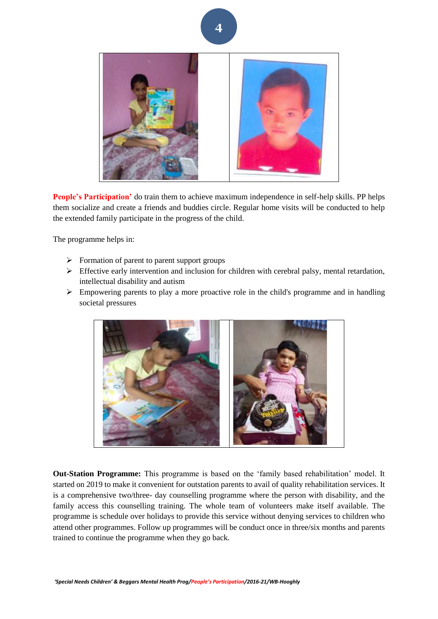

**People's Participation'** do train them to achieve maximum independence in self-help skills. PP helps them socialize and create a friends and buddies circle. Regular home visits will be conducted to help the extended family participate in the progress of the child.

The programme helps in:

- $\triangleright$  Formation of parent to parent support groups
- $\triangleright$  Effective early intervention and inclusion for children with cerebral palsy, mental retardation, intellectual disability and autism
- $\triangleright$  Empowering parents to play a more proactive role in the child's programme and in handling societal pressures



**Out-Station Programme:** This programme is based on the 'family based rehabilitation' model. It started on 2019 to make it convenient for outstation parents to avail of quality rehabilitation services. It is a comprehensive two/three- day counselling programme where the person with disability, and the family access this counselling training. The whole team of volunteers make itself available. The programme is schedule over holidays to provide this service without denying services to children who attend other programmes. Follow up programmes will be conduct once in three/six months and parents trained to continue the programme when they go back.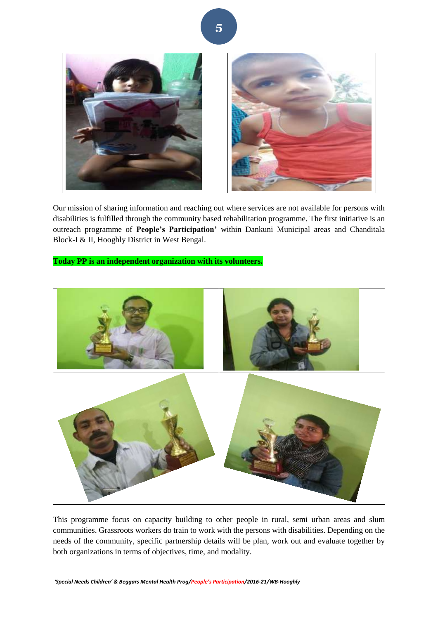

Our mission of sharing information and reaching out where services are not available for persons with disabilities is fulfilled through the community based rehabilitation programme. The first initiative is an outreach programme of **People's Participation'** within Dankuni Municipal areas and Chanditala Block-I & II, Hooghly District in West Bengal.

**Today PP is an independent organization with its volunteers.**



This programme focus on capacity building to other people in rural, semi urban areas and slum communities. Grassroots workers do train to work with the persons with disabilities. Depending on the needs of the community, specific partnership details will be plan, work out and evaluate together by both organizations in terms of objectives, time, and modality.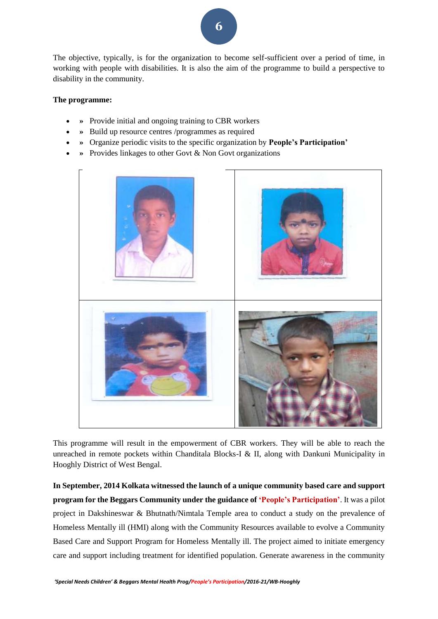The objective, typically, is for the organization to become self-sufficient over a period of time, in working with people with disabilities. It is also the aim of the programme to build a perspective to disability in the community.

#### **The programme:**

- **»** Provide initial and ongoing training to CBR workers
- **»** Build up resource centres /programmes as required
- **»** Organize periodic visits to the specific organization by **People's Participation'**
- **»** Provides linkages to other Govt & Non Govt organizations



This programme will result in the empowerment of CBR workers. They will be able to reach the unreached in remote pockets within Chanditala Blocks-I & II, along with Dankuni Municipality in Hooghly District of West Bengal.

**In September, 2014 Kolkata witnessed the launch of a unique community based care and support program for the Beggars Community under the guidance of 'People's Participation'**. It was a pilot project in Dakshineswar & Bhutnath/Nimtala Temple area to conduct a study on the prevalence of Homeless Mentally ill (HMI) along with the Community Resources available to evolve a Community Based Care and Support Program for Homeless Mentally ill. The project aimed to initiate emergency care and support including treatment for identified population. Generate awareness in the community

*'Special Needs Children' & Beggars Mental Health Prog/People's Participation/2016-21/WB-Hooghly*

**6**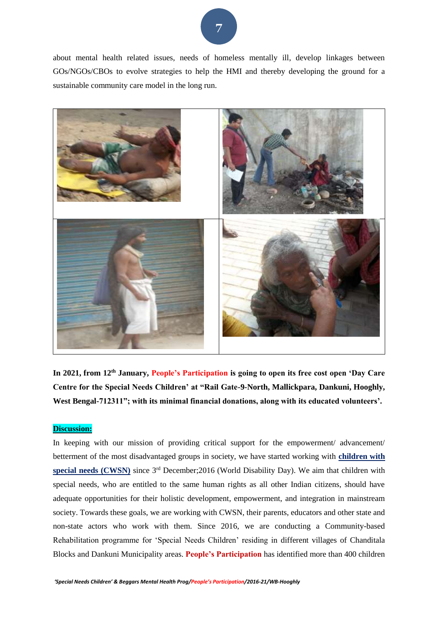

about mental health related issues, needs of homeless mentally ill, develop linkages between GOs/NGOs/CBOs to evolve strategies to help the HMI and thereby developing the ground for a sustainable community care model in the long run.



**In 2021, from 12th January, People's Participation is going to open its free cost open 'Day Care Centre for the Special Needs Children' at "Rail Gate-9-North, Mallickpara, Dankuni, Hooghly, West Bengal-712311"; with its minimal financial donations, along with its educated volunteers'.** 

#### **Discussion:**

In keeping with our mission of providing critical support for the empowerment/ advancement/ betterment of the most disadvantaged groups in society, we have started working with **children with**  special needs (CWSN) since 3<sup>rd</sup> December; 2016 (World Disability Day). We aim that children with special needs, who are entitled to the same human rights as all other Indian citizens, should have adequate opportunities for their holistic development, empowerment, and integration in mainstream society. Towards these goals, we are working with CWSN, their parents, educators and other state and non-state actors who work with them. Since 2016, we are conducting a Community-based Rehabilitation programme for 'Special Needs Children' residing in different villages of Chanditala Blocks and Dankuni Municipality areas. **People's Participation** has identified more than 400 children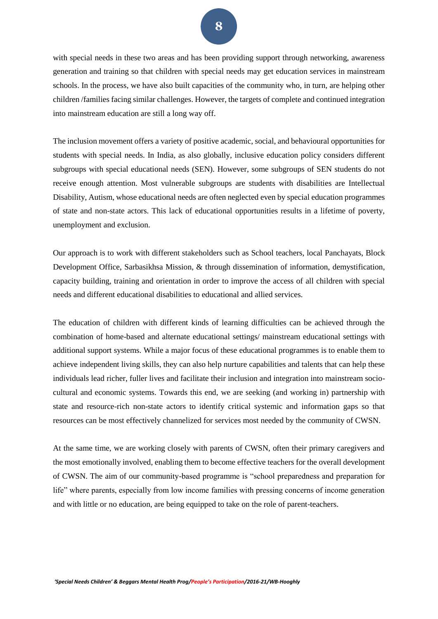with special needs in these two areas and has been providing support through networking, awareness generation and training so that children with special needs may get education services in mainstream schools. In the process, we have also built capacities of the community who, in turn, are helping other children /families facing similar challenges. However, the targets of complete and continued integration into mainstream education are still a long way off.

The inclusion movement offers a variety of positive academic, social, and behavioural opportunities for students with special needs. In India, as also globally, inclusive education policy considers different subgroups with special educational needs (SEN). However, some subgroups of SEN students do not receive enough attention. Most vulnerable subgroups are students with disabilities are Intellectual Disability, Autism, whose educational needs are often neglected even by special education programmes of state and non-state actors. This lack of educational opportunities results in a lifetime of poverty, unemployment and exclusion.

Our approach is to work with different stakeholders such as School teachers, local Panchayats, Block Development Office, Sarbasikhsa Mission, & through dissemination of information, demystification, capacity building, training and orientation in order to improve the access of all children with special needs and different educational disabilities to educational and allied services.

The education of children with different kinds of learning difficulties can be achieved through the combination of home-based and alternate educational settings/ mainstream educational settings with additional support systems. While a major focus of these educational programmes is to enable them to achieve independent living skills, they can also help nurture capabilities and talents that can help these individuals lead richer, fuller lives and facilitate their inclusion and integration into mainstream sociocultural and economic systems. Towards this end, we are seeking (and working in) partnership with state and resource-rich non-state actors to identify critical systemic and information gaps so that resources can be most effectively channelized for services most needed by the community of CWSN.

At the same time, we are working closely with parents of CWSN, often their primary caregivers and the most emotionally involved, enabling them to become effective teachers for the overall development of CWSN. The aim of our community-based programme is "school preparedness and preparation for life" where parents, especially from low income families with pressing concerns of income generation and with little or no education, are being equipped to take on the role of parent-teachers.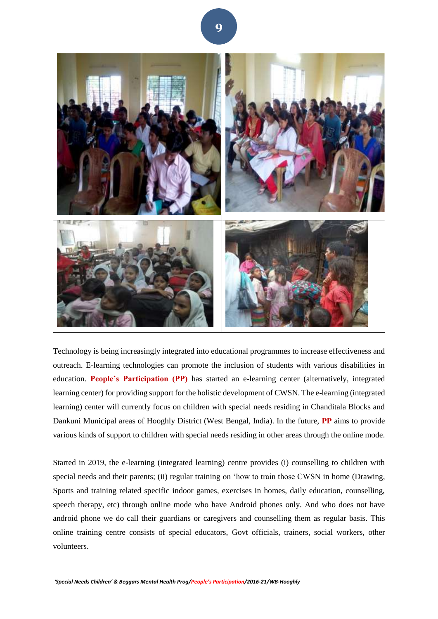

Technology is being increasingly integrated into educational programmes to increase effectiveness and outreach. E-learning technologies can promote the inclusion of students with various disabilities in education. **People's Participation (PP)** has started an e-learning center (alternatively, integrated learning center) for providing support for the holistic development of CWSN. The e-learning (integrated learning) center will currently focus on children with special needs residing in Chanditala Blocks and Dankuni Municipal areas of Hooghly District (West Bengal, India). In the future, **PP** aims to provide various kinds of support to children with special needs residing in other areas through the online mode.

Started in 2019, the e-learning (integrated learning) centre provides (i) counselling to children with special needs and their parents; (ii) regular training on 'how to train those CWSN in home (Drawing, Sports and training related specific indoor games, exercises in homes, daily education, counselling, speech therapy, etc) through online mode who have Android phones only. And who does not have android phone we do call their guardians or caregivers and counselling them as regular basis. This online training centre consists of special educators, Govt officials, trainers, social workers, other volunteers.